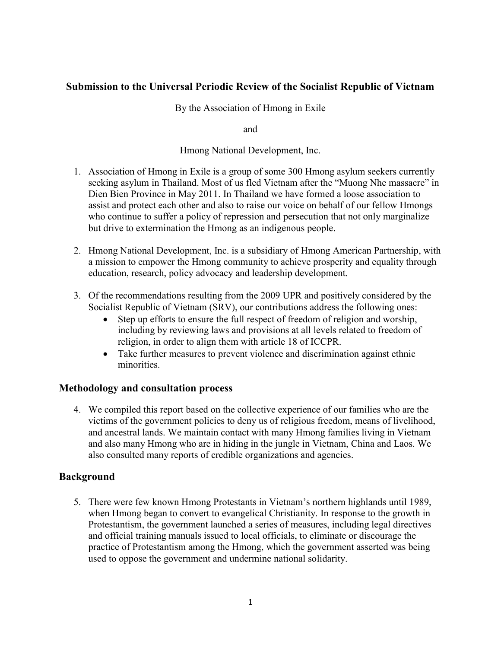# **Submission to the Universal Periodic Review of the Socialist Republic of Vietnam**

#### By the Association of Hmong in Exile

and

#### Hmong National Development, Inc.

- 1. Association of Hmong in Exile is a group of some 300 Hmong asylum seekers currently seeking asylum in Thailand. Most of us fled Vietnam after the "Muong Nhe massacre" in Dien Bien Province in May 2011. In Thailand we have formed a loose association to assist and protect each other and also to raise our voice on behalf of our fellow Hmongs who continue to suffer a policy of repression and persecution that not only marginalize but drive to extermination the Hmong as an indigenous people.
- 2. Hmong National Development, Inc. is a subsidiary of Hmong American Partnership, with a mission to empower the Hmong community to achieve prosperity and equality through education, research, policy advocacy and leadership development.
- 3. Of the recommendations resulting from the 2009 UPR and positively considered by the Socialist Republic of Vietnam (SRV), our contributions address the following ones:
	- Step up efforts to ensure the full respect of freedom of religion and worship, including by reviewing laws and provisions at all levels related to freedom of religion, in order to align them with article 18 of ICCPR.
	- Take further measures to prevent violence and discrimination against ethnic minorities.

#### **Methodology and consultation process**

4. We compiled this report based on the collective experience of our families who are the victims of the government policies to deny us of religious freedom, means of livelihood, and ancestral lands. We maintain contact with many Hmong families living in Vietnam and also many Hmong who are in hiding in the jungle in Vietnam, China and Laos. We also consulted many reports of credible organizations and agencies.

#### **Background**

5. There were few known Hmong Protestants in Vietnam's northern highlands until 1989, when Hmong began to convert to evangelical Christianity. In response to the growth in Protestantism, the government launched a series of measures, including legal directives and official training manuals issued to local officials, to eliminate or discourage the practice of Protestantism among the Hmong, which the government asserted was being used to oppose the government and undermine national solidarity.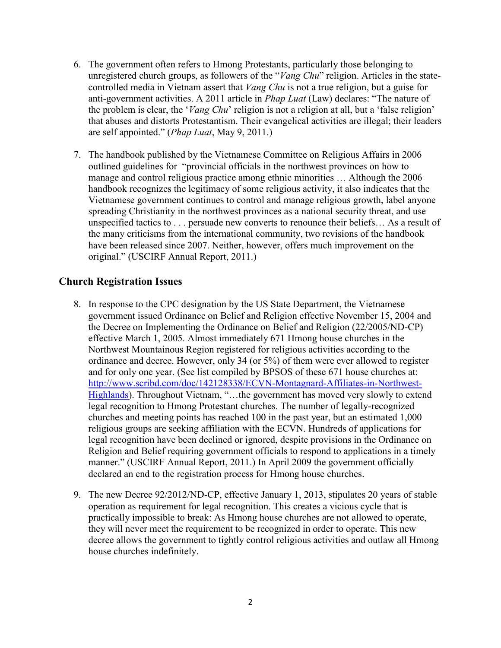- 6. The government often refers to Hmong Protestants, particularly those belonging to unregistered church groups, as followers of the "*Vang Chu*" religion. Articles in the statecontrolled media in Vietnam assert that *Vang Chu* is not a true religion, but a guise for anti-government activities. A 2011 article in *Phap Luat* (Law) declares: "The nature of the problem is clear, the '*Vang Chu*' religion is not a religion at all, but a 'false religion' that abuses and distorts Protestantism. Their evangelical activities are illegal; their leaders are self appointed." (*Phap Luat*, May 9, 2011.)
- 7. The handbook published by the Vietnamese Committee on Religious Affairs in 2006 outlined guidelines for "provincial officials in the northwest provinces on how to manage and control religious practice among ethnic minorities … Although the 2006 handbook recognizes the legitimacy of some religious activity, it also indicates that the Vietnamese government continues to control and manage religious growth, label anyone spreading Christianity in the northwest provinces as a national security threat, and use unspecified tactics to . . . persuade new converts to renounce their beliefs… As a result of the many criticisms from the international community, two revisions of the handbook have been released since 2007. Neither, however, offers much improvement on the original." (USCIRF Annual Report, 2011.)

#### **Church Registration Issues**

- 8. In response to the CPC designation by the US State Department, the Vietnamese government issued Ordinance on Belief and Religion effective November 15, 2004 and the Decree on Implementing the Ordinance on Belief and Religion (22/2005/ND-CP) effective March 1, 2005. Almost immediately 671 Hmong house churches in the Northwest Mountainous Region registered for religious activities according to the ordinance and decree. However, only 34 (or 5%) of them were ever allowed to register and for only one year. (See list compiled by BPSOS of these 671 house churches at: [http://www.scribd.com/doc/142128338/ECVN-Montagnard-Affiliates-in-Northwest-](http://www.scribd.com/doc/142128338/ECVN-Montagnard-Affiliates-in-Northwest-Highlands)[Highlands\)](http://www.scribd.com/doc/142128338/ECVN-Montagnard-Affiliates-in-Northwest-Highlands). Throughout Vietnam, "...the government has moved very slowly to extend legal recognition to Hmong Protestant churches. The number of legally-recognized churches and meeting points has reached 100 in the past year, but an estimated 1,000 religious groups are seeking affiliation with the ECVN. Hundreds of applications for legal recognition have been declined or ignored, despite provisions in the Ordinance on Religion and Belief requiring government officials to respond to applications in a timely manner." (USCIRF Annual Report, 2011.) In April 2009 the government officially declared an end to the registration process for Hmong house churches.
- 9. The new Decree 92/2012/ND-CP, effective January 1, 2013, stipulates 20 years of stable operation as requirement for legal recognition. This creates a vicious cycle that is practically impossible to break: As Hmong house churches are not allowed to operate, they will never meet the requirement to be recognized in order to operate. This new decree allows the government to tightly control religious activities and outlaw all Hmong house churches indefinitely.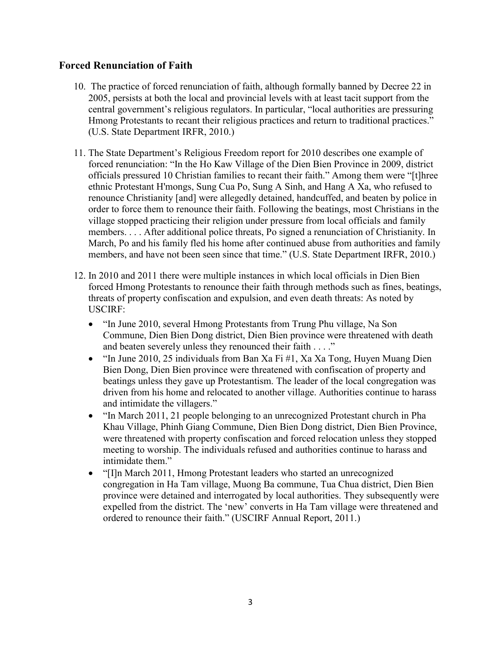### **Forced Renunciation of Faith**

- 10. The practice of forced renunciation of faith, although formally banned by Decree 22 in 2005, persists at both the local and provincial levels with at least tacit support from the central government's religious regulators. In particular, "local authorities are pressuring Hmong Protestants to recant their religious practices and return to traditional practices." (U.S. State Department IRFR, 2010.)
- 11. The State Department's Religious Freedom report for 2010 describes one example of forced renunciation: "In the Ho Kaw Village of the Dien Bien Province in 2009, district officials pressured 10 Christian families to recant their faith." Among them were "[t]hree ethnic Protestant H'mongs, Sung Cua Po, Sung A Sinh, and Hang A Xa, who refused to renounce Christianity [and] were allegedly detained, handcuffed, and beaten by police in order to force them to renounce their faith. Following the beatings, most Christians in the village stopped practicing their religion under pressure from local officials and family members. . . . After additional police threats, Po signed a renunciation of Christianity. In March, Po and his family fled his home after continued abuse from authorities and family members, and have not been seen since that time." (U.S. State Department IRFR, 2010.)
- 12. In 2010 and 2011 there were multiple instances in which local officials in Dien Bien forced Hmong Protestants to renounce their faith through methods such as fines, beatings, threats of property confiscation and expulsion, and even death threats: As noted by USCIRF:
	- "In June 2010, several Hmong Protestants from Trung Phu village, Na Son Commune, Dien Bien Dong district, Dien Bien province were threatened with death and beaten severely unless they renounced their faith . . . ."
	- "In June 2010, 25 individuals from Ban Xa Fi  $#1$ , Xa Xa Tong, Huyen Muang Dien Bien Dong, Dien Bien province were threatened with confiscation of property and beatings unless they gave up Protestantism. The leader of the local congregation was driven from his home and relocated to another village. Authorities continue to harass and intimidate the villagers."
	- "In March 2011, 21 people belonging to an unrecognized Protestant church in Pha Khau Village, Phinh Giang Commune, Dien Bien Dong district, Dien Bien Province, were threatened with property confiscation and forced relocation unless they stopped meeting to worship. The individuals refused and authorities continue to harass and intimidate them."
	- "[I]n March 2011, Hmong Protestant leaders who started an unrecognized congregation in Ha Tam village, Muong Ba commune, Tua Chua district, Dien Bien province were detained and interrogated by local authorities. They subsequently were expelled from the district. The 'new' converts in Ha Tam village were threatened and ordered to renounce their faith." (USCIRF Annual Report, 2011.)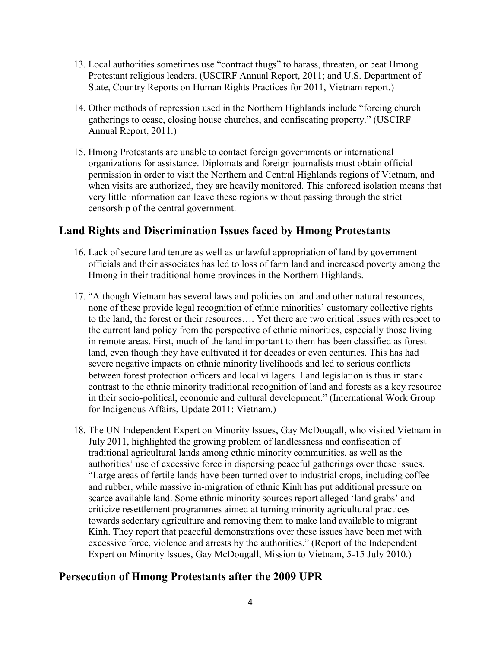- 13. Local authorities sometimes use "contract thugs" to harass, threaten, or beat Hmong Protestant religious leaders. (USCIRF Annual Report, 2011; and U.S. Department of State, Country Reports on Human Rights Practices for 2011, Vietnam report.)
- 14. Other methods of repression used in the Northern Highlands include "forcing church gatherings to cease, closing house churches, and confiscating property." (USCIRF Annual Report, 2011.)
- 15. Hmong Protestants are unable to contact foreign governments or international organizations for assistance. Diplomats and foreign journalists must obtain official permission in order to visit the Northern and Central Highlands regions of Vietnam, and when visits are authorized, they are heavily monitored. This enforced isolation means that very little information can leave these regions without passing through the strict censorship of the central government.

## **Land Rights and Discrimination Issues faced by Hmong Protestants**

- 16. Lack of secure land tenure as well as unlawful appropriation of land by government officials and their associates has led to loss of farm land and increased poverty among the Hmong in their traditional home provinces in the Northern Highlands.
- 17. "Although Vietnam has several laws and policies on land and other natural resources, none of these provide legal recognition of ethnic minorities' customary collective rights to the land, the forest or their resources…. Yet there are two critical issues with respect to the current land policy from the perspective of ethnic minorities, especially those living in remote areas. First, much of the land important to them has been classified as forest land, even though they have cultivated it for decades or even centuries. This has had severe negative impacts on ethnic minority livelihoods and led to serious conflicts between forest protection officers and local villagers. Land legislation is thus in stark contrast to the ethnic minority traditional recognition of land and forests as a key resource in their socio-political, economic and cultural development." (International Work Group for Indigenous Affairs, Update 2011: Vietnam.)
- 18. The UN Independent Expert on Minority Issues, Gay McDougall, who visited Vietnam in July 2011, highlighted the growing problem of landlessness and confiscation of traditional agricultural lands among ethnic minority communities, as well as the authorities' use of excessive force in dispersing peaceful gatherings over these issues. "Large areas of fertile lands have been turned over to industrial crops, including coffee and rubber, while massive in-migration of ethnic Kinh has put additional pressure on scarce available land. Some ethnic minority sources report alleged 'land grabs' and criticize resettlement programmes aimed at turning minority agricultural practices towards sedentary agriculture and removing them to make land available to migrant Kinh. They report that peaceful demonstrations over these issues have been met with excessive force, violence and arrests by the authorities." (Report of the Independent Expert on Minority Issues, Gay McDougall, Mission to Vietnam, 5-15 July 2010.)

# **Persecution of Hmong Protestants after the 2009 UPR**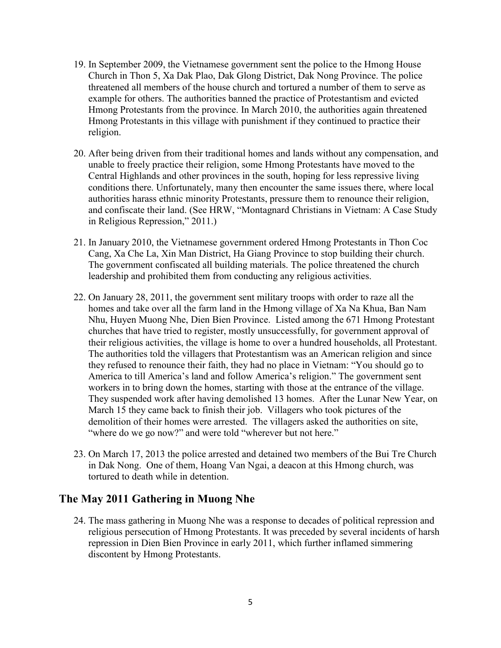- 19. In September 2009, the Vietnamese government sent the police to the Hmong House Church in Thon 5, Xa Dak Plao, Dak Glong District, Dak Nong Province. The police threatened all members of the house church and tortured a number of them to serve as example for others. The authorities banned the practice of Protestantism and evicted Hmong Protestants from the province. In March 2010, the authorities again threatened Hmong Protestants in this village with punishment if they continued to practice their religion.
- 20. After being driven from their traditional homes and lands without any compensation, and unable to freely practice their religion, some Hmong Protestants have moved to the Central Highlands and other provinces in the south, hoping for less repressive living conditions there. Unfortunately, many then encounter the same issues there, where local authorities harass ethnic minority Protestants, pressure them to renounce their religion, and confiscate their land. (See HRW, "Montagnard Christians in Vietnam: A Case Study in Religious Repression," 2011.)
- 21. In January 2010, the Vietnamese government ordered Hmong Protestants in Thon Coc Cang, Xa Che La, Xin Man District, Ha Giang Province to stop building their church. The government confiscated all building materials. The police threatened the church leadership and prohibited them from conducting any religious activities.
- 22. On January 28, 2011, the government sent military troops with order to raze all the homes and take over all the farm land in the Hmong village of Xa Na Khua, Ban Nam Nhu, Huyen Muong Nhe, Dien Bien Province. Listed among the 671 Hmong Protestant churches that have tried to register, mostly unsuccessfully, for government approval of their religious activities, the village is home to over a hundred households, all Protestant. The authorities told the villagers that Protestantism was an American religion and since they refused to renounce their faith, they had no place in Vietnam: "You should go to America to till America's land and follow America's religion." The government sent workers in to bring down the homes, starting with those at the entrance of the village. They suspended work after having demolished 13 homes. After the Lunar New Year, on March 15 they came back to finish their job. Villagers who took pictures of the demolition of their homes were arrested. The villagers asked the authorities on site, "where do we go now?" and were told "wherever but not here."
- 23. On March 17, 2013 the police arrested and detained two members of the Bui Tre Church in Dak Nong. One of them, Hoang Van Ngai, a deacon at this Hmong church, was tortured to death while in detention.

## **The May 2011 Gathering in Muong Nhe**

24. The mass gathering in Muong Nhe was a response to decades of political repression and religious persecution of Hmong Protestants. It was preceded by several incidents of harsh repression in Dien Bien Province in early 2011, which further inflamed simmering discontent by Hmong Protestants.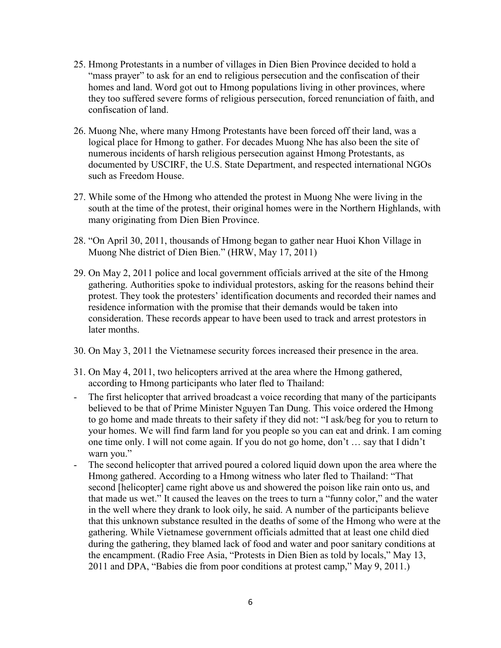- 25. Hmong Protestants in a number of villages in Dien Bien Province decided to hold a "mass prayer" to ask for an end to religious persecution and the confiscation of their homes and land. Word got out to Hmong populations living in other provinces, where they too suffered severe forms of religious persecution, forced renunciation of faith, and confiscation of land.
- 26. Muong Nhe, where many Hmong Protestants have been forced off their land, was a logical place for Hmong to gather. For decades Muong Nhe has also been the site of numerous incidents of harsh religious persecution against Hmong Protestants, as documented by USCIRF, the U.S. State Department, and respected international NGOs such as Freedom House.
- 27. While some of the Hmong who attended the protest in Muong Nhe were living in the south at the time of the protest, their original homes were in the Northern Highlands, with many originating from Dien Bien Province.
- 28. "On April 30, 2011, thousands of Hmong began to gather near Huoi Khon Village in Muong Nhe district of Dien Bien." (HRW, May 17, 2011)
- 29. On May 2, 2011 police and local government officials arrived at the site of the Hmong gathering. Authorities spoke to individual protestors, asking for the reasons behind their protest. They took the protesters' identification documents and recorded their names and residence information with the promise that their demands would be taken into consideration. These records appear to have been used to track and arrest protestors in later months.
- 30. On May 3, 2011 the Vietnamese security forces increased their presence in the area.
- 31. On May 4, 2011, two helicopters arrived at the area where the Hmong gathered, according to Hmong participants who later fled to Thailand:
- The first helicopter that arrived broadcast a voice recording that many of the participants believed to be that of Prime Minister Nguyen Tan Dung. This voice ordered the Hmong to go home and made threats to their safety if they did not: "I ask/beg for you to return to your homes. We will find farm land for you people so you can eat and drink. I am coming one time only. I will not come again. If you do not go home, don't … say that I didn't warn you."
- The second helicopter that arrived poured a colored liquid down upon the area where the Hmong gathered. According to a Hmong witness who later fled to Thailand: "That second [helicopter] came right above us and showered the poison like rain onto us, and that made us wet." It caused the leaves on the trees to turn a "funny color," and the water in the well where they drank to look oily, he said. A number of the participants believe that this unknown substance resulted in the deaths of some of the Hmong who were at the gathering. While Vietnamese government officials admitted that at least one child died during the gathering, they blamed lack of food and water and poor sanitary conditions at the encampment. (Radio Free Asia, "Protests in Dien Bien as told by locals," May 13, 2011 and DPA, "Babies die from poor conditions at protest camp," May 9, 2011.)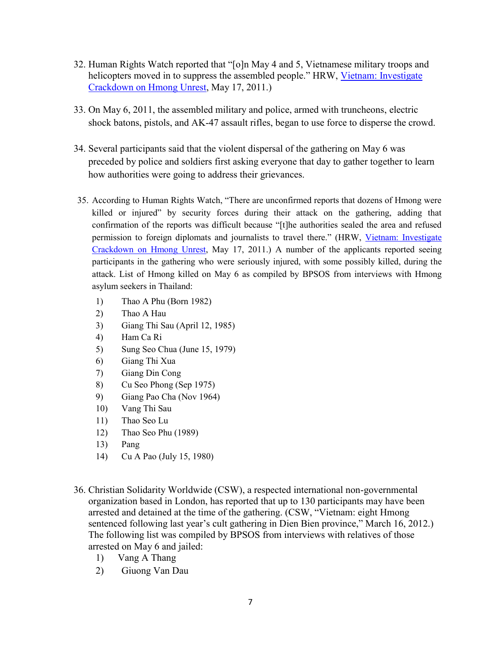- 32. Human Rights Watch reported that "[o]n May 4 and 5, Vietnamese military troops and helicopters moved in to suppress the assembled people." HRW, Vietnam: Investigate [Crackdown on Hmong Unrest,](http://www.hrw.org/news/2011/05/17/vietnam-investigate-crackdown-hmong-unrest) May 17, 2011.)
- 33. On May 6, 2011, the assembled military and police, armed with truncheons, electric shock batons, pistols, and AK-47 assault rifles, began to use force to disperse the crowd.
- 34. Several participants said that the violent dispersal of the gathering on May 6 was preceded by police and soldiers first asking everyone that day to gather together to learn how authorities were going to address their grievances.
- 35. According to Human Rights Watch, "There are unconfirmed reports that dozens of Hmong were killed or injured" by security forces during their attack on the gathering, adding that confirmation of the reports was difficult because "[t]he authorities sealed the area and refused permission to foreign diplomats and journalists to travel there." (HRW, [Vietnam: Investigate](http://www.hrw.org/news/2011/05/17/vietnam-investigate-crackdown-hmong-unrest)  [Crackdown on Hmong Unrest,](http://www.hrw.org/news/2011/05/17/vietnam-investigate-crackdown-hmong-unrest) May 17, 2011.) A number of the applicants reported seeing participants in the gathering who were seriously injured, with some possibly killed, during the attack. List of Hmong killed on May 6 as compiled by BPSOS from interviews with Hmong asylum seekers in Thailand:
	- 1) Thao A Phu (Born 1982)
	- 2) Thao A Hau
	- 3) Giang Thi Sau (April 12, 1985)
	- 4) Ham Ca Ri
	- 5) Sung Seo Chua (June 15, 1979)
	- 6) Giang Thi Xua
	- 7) Giang Din Cong
	- 8) Cu Seo Phong (Sep 1975)
	- 9) Giang Pao Cha (Nov 1964)
	- 10) Vang Thi Sau
	- 11) Thao Seo Lu
	- 12) Thao Seo Phu (1989)
	- 13) Pang
	- 14) Cu A Pao (July 15, 1980)
- 36. Christian Solidarity Worldwide (CSW), a respected international non-governmental organization based in London, has reported that up to 130 participants may have been arrested and detained at the time of the gathering. (CSW, "Vietnam: eight Hmong sentenced following last year's cult gathering in Dien Bien province," March 16, 2012.) The following list was compiled by BPSOS from interviews with relatives of those arrested on May 6 and jailed:
	- 1) Vang A Thang
	- 2) Giuong Van Dau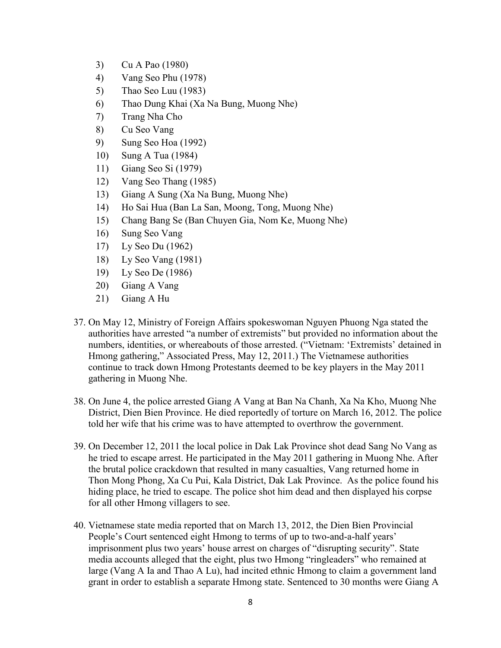- 3) Cu A Pao (1980)
- 4) Vang Seo Phu (1978)
- 5) Thao Seo Luu (1983)
- 6) Thao Dung Khai (Xa Na Bung, Muong Nhe)
- 7) Trang Nha Cho
- 8) Cu Seo Vang
- 9) Sung Seo Hoa (1992)
- 10) Sung A Tua (1984)
- 11) Giang Seo Si (1979)
- 12) Vang Seo Thang (1985)
- 13) Giang A Sung (Xa Na Bung, Muong Nhe)
- 14) Ho Sai Hua (Ban La San, Moong, Tong, Muong Nhe)
- 15) Chang Bang Se (Ban Chuyen Gia, Nom Ke, Muong Nhe)
- 16) Sung Seo Vang
- 17) Ly Seo Du (1962)
- 18) Ly Seo Vang (1981)
- 19) Ly Seo De (1986)
- 20) Giang A Vang
- 21) Giang A Hu
- 37. On May 12, Ministry of Foreign Affairs spokeswoman Nguyen Phuong Nga stated the authorities have arrested "a number of extremists" but provided no information about the numbers, identities, or whereabouts of those arrested. ("Vietnam: 'Extremists' detained in Hmong gathering," Associated Press, May 12, 2011.) The Vietnamese authorities continue to track down Hmong Protestants deemed to be key players in the May 2011 gathering in Muong Nhe.
- 38. On June 4, the police arrested Giang A Vang at Ban Na Chanh, Xa Na Kho, Muong Nhe District, Dien Bien Province. He died reportedly of torture on March 16, 2012. The police told her wife that his crime was to have attempted to overthrow the government.
- 39. On December 12, 2011 the local police in Dak Lak Province shot dead Sang No Vang as he tried to escape arrest. He participated in the May 2011 gathering in Muong Nhe. After the brutal police crackdown that resulted in many casualties, Vang returned home in Thon Mong Phong, Xa Cu Pui, Kala District, Dak Lak Province. As the police found his hiding place, he tried to escape. The police shot him dead and then displayed his corpse for all other Hmong villagers to see.
- 40. Vietnamese state media reported that on March 13, 2012, the Dien Bien Provincial People's Court sentenced eight Hmong to terms of up to two-and-a-half years' imprisonment plus two years' house arrest on charges of "disrupting security". State media accounts alleged that the eight, plus two Hmong "ringleaders" who remained at large (Vang A Ia and Thao A Lu), had incited ethnic Hmong to claim a government land grant in order to establish a separate Hmong state. Sentenced to 30 months were Giang A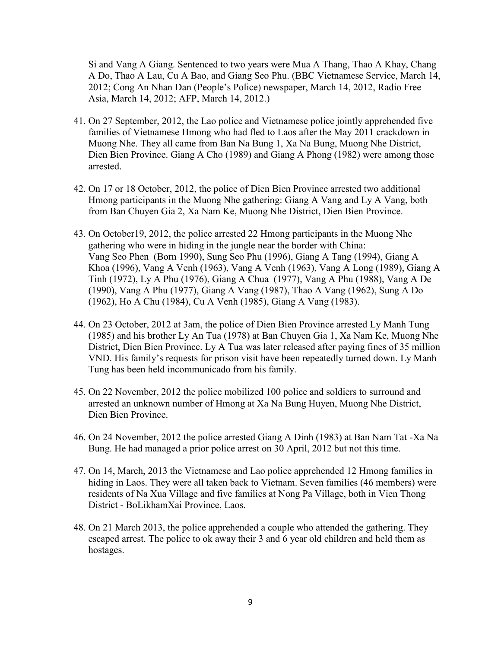Si and Vang A Giang. Sentenced to two years were Mua A Thang, Thao A Khay, Chang A Do, Thao A Lau, Cu A Bao, and Giang Seo Phu. (BBC Vietnamese Service, March 14, 2012; Cong An Nhan Dan (People's Police) newspaper, March 14, 2012, Radio Free Asia, March 14, 2012; AFP, March 14, 2012.)

- 41. On 27 September, 2012, the Lao police and Vietnamese police jointly apprehended five families of Vietnamese Hmong who had fled to Laos after the May 2011 crackdown in Muong Nhe. They all came from Ban Na Bung 1, Xa Na Bung, Muong Nhe District, Dien Bien Province. Giang A Cho (1989) and Giang A Phong (1982) were among those arrested.
- 42. On 17 or 18 October, 2012, the police of Dien Bien Province arrested two additional Hmong participants in the Muong Nhe gathering: Giang A Vang and Ly A Vang, both from Ban Chuyen Gia 2, Xa Nam Ke, Muong Nhe District, Dien Bien Province.
- 43. On October19, 2012, the police arrested 22 Hmong participants in the Muong Nhe gathering who were in hiding in the jungle near the border with China: Vang Seo Phen (Born 1990), Sung Seo Phu (1996), Giang A Tang (1994), Giang A Khoa (1996), Vang A Venh (1963), Vang A Venh (1963), Vang A Long (1989), Giang A Tinh (1972), Ly A Phu (1976), Giang A Chua (1977), Vang A Phu (1988), Vang A De (1990), Vang A Phu (1977), Giang A Vang (1987), Thao A Vang (1962), Sung A Do (1962), Ho A Chu (1984), Cu A Venh (1985), Giang A Vang (1983).
- 44. On 23 October, 2012 at 3am, the police of Dien Bien Province arrested Ly Manh Tung (1985) and his brother Ly An Tua (1978) at Ban Chuyen Gia 1, Xa Nam Ke, Muong Nhe District, Dien Bien Province. Ly A Tua was later released after paying fines of 35 million VND. His family's requests for prison visit have been repeatedly turned down. Ly Manh Tung has been held incommunicado from his family.
- 45. On 22 November, 2012 the police mobilized 100 police and soldiers to surround and arrested an unknown number of Hmong at Xa Na Bung Huyen, Muong Nhe District, Dien Bien Province.
- 46. On 24 November, 2012 the police arrested Giang A Dinh (1983) at Ban Nam Tat -Xa Na Bung. He had managed a prior police arrest on 30 April, 2012 but not this time.
- 47. On 14, March, 2013 the Vietnamese and Lao police apprehended 12 Hmong families in hiding in Laos. They were all taken back to Vietnam. Seven families (46 members) were residents of Na Xua Village and five families at Nong Pa Village, both in Vien Thong District - BoLikhamXai Province, Laos.
- 48. On 21 March 2013, the police apprehended a couple who attended the gathering. They escaped arrest. The police to ok away their 3 and 6 year old children and held them as hostages.